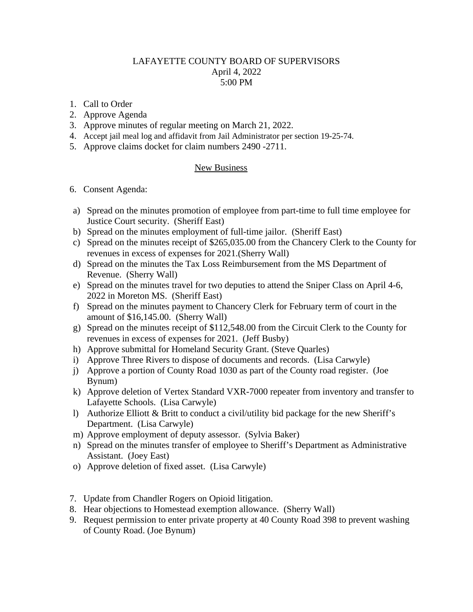## LAFAYETTE COUNTY BOARD OF SUPERVISORS April 4, 2022 5:00 PM

- 1. Call to Order
- 2. Approve Agenda
- 3. Approve minutes of regular meeting on March 21, 2022.
- 4. Accept jail meal log and affidavit from Jail Administrator per section 19-25-74.
- 5. Approve claims docket for claim numbers 2490 -2711.

## New Business

- 6. Consent Agenda:
- a) Spread on the minutes promotion of employee from part-time to full time employee for Justice Court security. (Sheriff East)
- b) Spread on the minutes employment of full-time jailor. (Sheriff East)
- c) Spread on the minutes receipt of \$265,035.00 from the Chancery Clerk to the County for revenues in excess of expenses for 2021.(Sherry Wall)
- d) Spread on the minutes the Tax Loss Reimbursement from the MS Department of Revenue. (Sherry Wall)
- e) Spread on the minutes travel for two deputies to attend the Sniper Class on April 4-6, 2022 in Moreton MS. (Sheriff East)
- f) Spread on the minutes payment to Chancery Clerk for February term of court in the amount of \$16,145.00. (Sherry Wall)
- g) Spread on the minutes receipt of \$112,548.00 from the Circuit Clerk to the County for revenues in excess of expenses for 2021. (Jeff Busby)
- h) Approve submittal for Homeland Security Grant. (Steve Quarles)
- i) Approve Three Rivers to dispose of documents and records. (Lisa Carwyle)
- j) Approve a portion of County Road 1030 as part of the County road register. (Joe Bynum)
- k) Approve deletion of Vertex Standard VXR-7000 repeater from inventory and transfer to Lafayette Schools. (Lisa Carwyle)
- l) Authorize Elliott & Britt to conduct a civil/utility bid package for the new Sheriff's Department. (Lisa Carwyle)
- m) Approve employment of deputy assessor. (Sylvia Baker)
- n) Spread on the minutes transfer of employee to Sheriff's Department as Administrative Assistant. (Joey East)
- o) Approve deletion of fixed asset. (Lisa Carwyle)
- 7. Update from Chandler Rogers on Opioid litigation.
- 8. Hear objections to Homestead exemption allowance. (Sherry Wall)
- 9. Request permission to enter private property at 40 County Road 398 to prevent washing of County Road. (Joe Bynum)